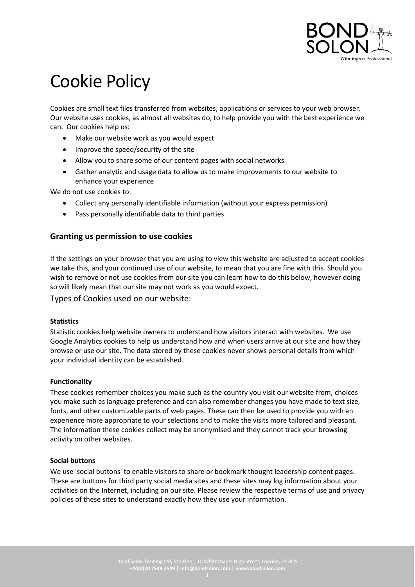

# Cookie Policy

Cookies are small text files transferred from websites, applications or services to your web browser. Our website uses cookies, as almost all websites do, to help provide you with the best experience we can. Our cookies help us:

- Make our website work as you would expect
- Improve the speed/security of the site
- Allow you to share some of our content pages with social networks
- Gather analytic and usage data to allow us to make improvements to our website to enhance your experience

We do not use cookies to:

- Collect any personally identifiable information (without your express permission)
- Pass personally identifiable data to third parties

## **Granting us permission to use cookies**

If the settings on your browser that you are using to view this website are adjusted to accept cookies we take this, and your continued use of our website, to mean that you are fine with this. Should you wish to remove or not use cookies from our site you can learn how to do this below, however doing so will likely mean that our site may not work as you would expect.

Types of Cookies used on our website:

#### **Statistics**

Statistic cookies help website owners to understand how visitors interact with websites. We use Google Analytics cookies to help us understand how and when users arrive at our site and how they browse or use our site. The data stored by these cookies never shows personal details from which your individual identity can be established.

#### **Functionality**

These cookies remember choices you make such as the country you visit our website from, choices you make such as language preference and can also remember changes you have made to text size, fonts, and other customizable parts of web pages. These can then be used to provide you with an experience more appropriate to your selections and to make the visits more tailored and pleasant. The information these cookies collect may be anonymised and they cannot track your browsing activity on other websites.

#### **Social buttons**

We use 'social buttons' to enable visitors to share or bookmark thought leadership content pages. These are buttons for third party social media sites and these sites may log information about your activities on the Internet, including on our site. Please review the respective terms of use and privacy policies of these sites to understand exactly how they use your information.